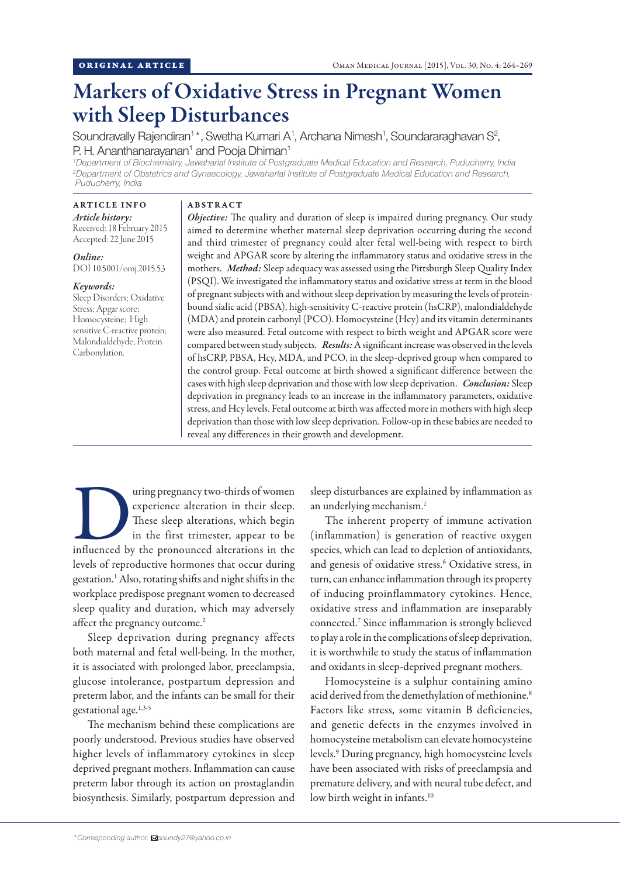# Markers of Oxidative Stress in Pregnant Women with Sleep Disturbances

Soundravally Rajendiran<sup>1\*</sup>, Swetha Kumari A<sup>1</sup>, Archana Nimesh<sup>1</sup>, Soundararaghavan S<sup>2</sup>, P. H. Ananthanarayanan<sup>1</sup> and Pooja Dhiman<sup>1</sup>

*1 Department of Biochemistry, Jawaharlal Institute of Postgraduate Medical Education and Research, Puducherry, India 2 Department of Obstetrics and Gynaecology, Jawaharlal Institute of Postgraduate Medical Education and Research, Puducherry, India*

### ARTICLE INFO *Article history:*  Received: 18 February 2015 Accepted: 22 June 2015

*Online:* DOI 10.5001/omj.2015.53

# *Keywords:*

Sleep Disorders; Oxidative Stress; Apgar score; Homocysteine; High sensitive C-reactive protein; Malondialdehyde; Protein Carbonylation.

#### ABSTRACT

*Objective:* The quality and duration of sleep is impaired during pregnancy. Our study aimed to determine whether maternal sleep deprivation occurring during the second and third trimester of pregnancy could alter fetal well-being with respect to birth weight and APGAR score by altering the inflammatory status and oxidative stress in the mothers. *Method:* Sleep adequacy was assessed using the Pittsburgh Sleep Quality Index (PSQI). We investigated the inflammatory status and oxidative stress at term in the blood of pregnant subjects with and without sleep deprivation by measuring the levels of proteinbound sialic acid (PBSA), high-sensitivity C-reactive protein (hsCRP), malondialdehyde (MDA) and protein carbonyl (PCO). Homocysteine (Hcy) and its vitamin determinants were also measured. Fetal outcome with respect to birth weight and APGAR score were compared between study subjects. *Results:* A significant increase was observed in the levels of hsCRP, PBSA, Hcy, MDA, and PCO, in the sleep-deprived group when compared to the control group. Fetal outcome at birth showed a significant difference between the cases with high sleep deprivation and those with low sleep deprivation. *Conclusion:* Sleep deprivation in pregnancy leads to an increase in the inflammatory parameters, oxidative stress, and Hcy levels. Fetal outcome at birth was affected more in mothers with high sleep deprivation than those with low sleep deprivation. Follow-up in these babies are needed to reveal any differences in their growth and development.

These sleep alteration in their sleep.<br>
These sleep alterations, which begin<br>
in the first trimester, appear to be<br>
influenced by the pronounced alterations in the experience alteration in their sleep. These sleep alterations, which begin in the first trimester, appear to be levels of reproductive hormones that occur during gestation.1 Also, rotating shifts and night shifts in the workplace predispose pregnant women to decreased sleep quality and duration, which may adversely affect the pregnancy outcome.<sup>2</sup>

Sleep deprivation during pregnancy affects both maternal and fetal well-being. In the mother, it is associated with prolonged labor, preeclampsia, glucose intolerance, postpartum depression and preterm labor, and the infants can be small for their gestational age.1,3-5

The mechanism behind these complications are poorly understood. Previous studies have observed higher levels of inflammatory cytokines in sleep deprived pregnant mothers. Inflammation can cause preterm labor through its action on prostaglandin biosynthesis. Similarly, postpartum depression and sleep disturbances are explained by inflammation as an underlying mechanism.<sup>1</sup>

The inherent property of immune activation (inflammation) is generation of reactive oxygen species, which can lead to depletion of antioxidants, and genesis of oxidative stress.<sup>6</sup> Oxidative stress, in turn, can enhance inflammation through its property of inducing proinflammatory cytokines. Hence, oxidative stress and inflammation are inseparably connected.7 Since inflammation is strongly believed to play a role in the complications of sleep deprivation, it is worthwhile to study the status of inflammation and oxidants in sleep-deprived pregnant mothers.

Homocysteine is a sulphur containing amino acid derived from the demethylation of methionine.<sup>8</sup> Factors like stress, some vitamin B deficiencies, and genetic defects in the enzymes involved in homocysteine metabolism can elevate homocysteine levels.9 During pregnancy, high homocysteine levels have been associated with risks of preeclampsia and premature delivery, and with neural tube defect, and low birth weight in infants.<sup>10</sup>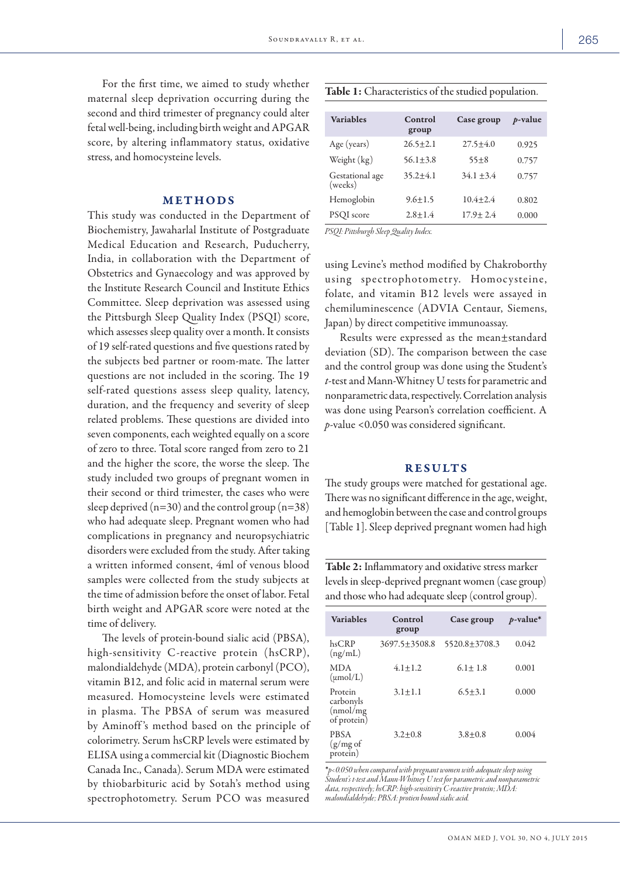For the first time, we aimed to study whether maternal sleep deprivation occurring during the second and third trimester of pregnancy could alter fetal well-being, including birth weight and APGAR score, by altering inflammatory status, oxidative stress, and homocysteine levels.

# METHODS

This study was conducted in the Department of Biochemistry, Jawaharlal Institute of Postgraduate Medical Education and Research, Puducherry, India, in collaboration with the Department of Obstetrics and Gynaecology and was approved by the Institute Research Council and Institute Ethics Committee. Sleep deprivation was assessed using the Pittsburgh Sleep Quality Index (PSQI) score, which assesses sleep quality over a month. It consists of 19 self-rated questions and five questions rated by the subjects bed partner or room-mate. The latter questions are not included in the scoring. The 19 self-rated questions assess sleep quality, latency, duration, and the frequency and severity of sleep related problems. These questions are divided into seven components, each weighted equally on a score of zero to three. Total score ranged from zero to 21 and the higher the score, the worse the sleep. The study included two groups of pregnant women in their second or third trimester, the cases who were sleep deprived  $(n=30)$  and the control group  $(n=38)$ who had adequate sleep. Pregnant women who had complications in pregnancy and neuropsychiatric disorders were excluded from the study. After taking a written informed consent, 4ml of venous blood samples were collected from the study subjects at the time of admission before the onset of labor. Fetal birth weight and APGAR score were noted at the time of delivery.

The levels of protein-bound sialic acid (PBSA), high-sensitivity C-reactive protein (hsCRP), malondialdehyde (MDA), protein carbonyl (PCO), vitamin B12, and folic acid in maternal serum were measured. Homocysteine levels were estimated in plasma. The PBSA of serum was measured by Aminoff 's method based on the principle of colorimetry. Serum hsCRP levels were estimated by ELISA using a commercial kit (Diagnostic Biochem Canada Inc., Canada). Serum MDA were estimated by thiobarbituric acid by Sotah's method using spectrophotometry. Serum PCO was measured

| Table 1: Characteristics of the studied population. |  |
|-----------------------------------------------------|--|
|-----------------------------------------------------|--|

| <b>Variables</b>           | Control<br>group | Case group     | $p$ -value |
|----------------------------|------------------|----------------|------------|
| Age (years)                | $26.5 + 2.1$     | $27.5 + 4.0$   | 0.925      |
| Weight (kg)                | $56.1 + 3.8$     | $55 + 8$       | 0.757      |
| Gestational age<br>(weeks) | $35.2 + 4.1$     | $34.1 + 3.4$   | 0.757      |
| Hemoglobin                 | $9.6 + 1.5$      | $10.4 + 2.4$   | 0.802      |
| PSQI score                 | $2.8 + 1.4$      | $17.9 \pm 2.4$ | 0.000      |

*PSQI: Pittsburgh Sleep Quality Index.* 

using Levine's method modified by Chakroborthy using spectrophotometry. Homocysteine, folate, and vitamin B12 levels were assayed in chemiluminescence (ADVIA Centaur, Siemens, Japan) by direct competitive immunoassay.

Results were expressed as the mean±standard deviation (SD). The comparison between the case and the control group was done using the Student's *t*-test and Mann-Whitney U tests for parametric and nonparametric data, respectively. Correlation analysis was done using Pearson's correlation coefficient. A *p*-value <0.050 was considered significant.

## RESULTS

The study groups were matched for gestational age. There was no significant difference in the age, weight, and hemoglobin between the case and control groups [Table 1]. Sleep deprived pregnant women had high

Table 2: Inflammatory and oxidative stress marker levels in sleep-deprived pregnant women (case group) and those who had adequate sleep (control group).

| <b>Variables</b>                                 | Control<br>group    | Case group        | $p$ -value* |
|--------------------------------------------------|---------------------|-------------------|-------------|
| hsCRP<br>(ng/mL)                                 | $3697.5 \pm 3508.8$ | $5520.8 + 3708.3$ | 0.042       |
| <b>MDA</b><br>$(\mu \text{mol/L})$               | $4.1 + 1.2$         | $6.1 \pm 1.8$     | 0.001       |
| Protein<br>carbonyls<br>(nmol/mg)<br>of protein) | $3.1 + 1.1$         | $6.5 + 3.1$       | 0.000       |
| <b>PBSA</b><br>$(g/mg \text{ of }$<br>protein)   | $3.2 + 0.8$         | $3.8 + 0.8$       | 0.004       |

\**p<0.050 when compared with pregnant women with adequate sleep using Student's t-test and Mann-Whitney U test for parametric and nonparametric data, respectively; hsCRP: high-sensitivity C-reactive protein; MDA: malondialdehyde; PBSA: protien bound sialic acid.*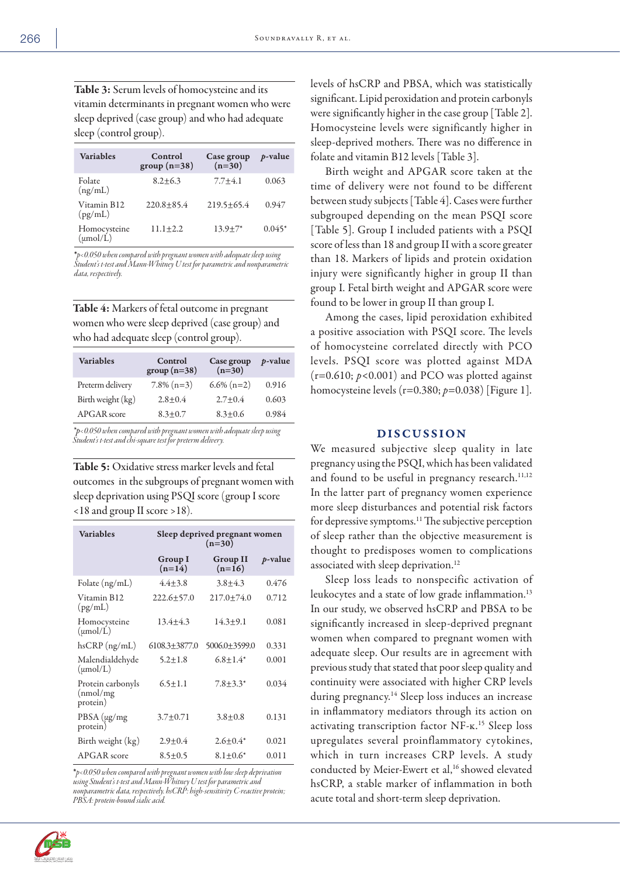Table 3: Serum levels of homocysteine and its vitamin determinants in pregnant women who were sleep deprived (case group) and who had adequate sleep (control group).

| <b>Variables</b>                     | Control<br>group $(n=38)$ | Case group<br>$(n=30)$ | $p$ -value |
|--------------------------------------|---------------------------|------------------------|------------|
| Folate<br>(ng/mL)                    | $8.2 + 6.3$               | $7.7 + 4.1$            | 0.063      |
| Vitamin B12<br>(pg/mL)               | $220.8 + 85.4$            | $219.5 + 65.4$         | 0.947      |
| Homocysteine<br>$(\mu \text{mol/L})$ | $11.1 + 2.2$              | $13.9 + 7*$            | $0.045*$   |

\**p<0.050 when compared with pregnant women with adequate sleep using Student's t-test and Mann-Whitney U test for parametric and nonparametric data, respectively.*

Table 4: Markers of fetal outcome in pregnant women who were sleep deprived (case group) and who had adequate sleep (control group).

| <b>Variables</b>  | Control<br>$group(n=38)$ | Case group<br>$(n=30)$ | <i>p</i> -value |
|-------------------|--------------------------|------------------------|-----------------|
| Preterm delivery  | $7.8\%$ (n=3)            | $6.6\%$ (n=2)          | 0.916           |
| Birth weight (kg) | $2.8 + 0.4$              | $2.7 + 0.4$            | 0.603           |
| APGAR score       | $8.3 + 0.7$              | $8.3 + 0.6$            | 0.984           |

*\*p<0.050 when compared with pregnant women with adequate sleep using Student's t-test and chi-square test for preterm delivery.*

Table 5: Oxidative stress marker levels and fetal outcomes in the subgroups of pregnant women with sleep deprivation using PSQI score (group I score <18 and group II score >18).

| <b>Variables</b>                           | Sleep deprived pregnant women<br>$(n=30)$ |                             |            |
|--------------------------------------------|-------------------------------------------|-----------------------------|------------|
|                                            | <b>Group I</b><br>$(n=14)$                | <b>Group II</b><br>$(n=16)$ | $p$ -value |
| Folate (ng/mL)                             | $4.4 + 3.8$                               | $3.8 + 4.3$                 | 0.476      |
| Vitamin B12<br>(pg/mL)                     | $222.6 + 57.0$                            | $217.0 + 74.0$              | 0.712      |
| Homocysteine<br>$(\mu \text{mol/L})$       | $13.4 + 4.3$                              | $14.3 + 9.1$                | 0.081      |
| $h$ s $CRP$ (ng/mL)                        | $6108.3 \pm 3877.0$                       | $5006.0 + 3599.0$           | 0.331      |
| Malendialdehyde<br>$(\mu \text{mol/L})$    | $5.2 \pm 1.8$                             | $6.8 + 1.4*$                | 0.001      |
| Protein carbonyls<br>(nmol/mg)<br>protein) | $6.5 + 1.1$                               | $7.8 + 3.3^*$               | 0.034      |
| $PBSA (\mu g/mg)$<br>protein)              | $3.7 + 0.71$                              | $3.8 + 0.8$                 | 0.131      |
| Birth weight (kg)                          | $2.9 + 0.4$                               | $2.6 + 0.4^*$               | 0.021      |
| APGAR score                                | $8.5 \pm 0.5$                             | $8.1 + 0.6^*$               | 0.011      |

\**p<0.050 when compared with pregnant women with low sleep deprivation using Student's t-test and Mann-Whitney U test for parametric and nonparametric data, respectively. hsCRP: high-sensitivity C-reactive protein; PBSA: protein-bound sialic acid.*



levels of hsCRP and PBSA, which was statistically significant. Lipid peroxidation and protein carbonyls were significantly higher in the case group [Table 2]. Homocysteine levels were significantly higher in sleep-deprived mothers. There was no difference in folate and vitamin B12 levels [Table 3].

Birth weight and APGAR score taken at the time of delivery were not found to be different between study subjects [Table 4]. Cases were further subgrouped depending on the mean PSQI score [Table 5]. Group I included patients with a PSQI score of less than 18 and group II with a score greater than 18. Markers of lipids and protein oxidation injury were significantly higher in group II than group I. Fetal birth weight and APGAR score were found to be lower in group II than group I.

Among the cases, lipid peroxidation exhibited a positive association with PSQI score. The levels of homocysteine correlated directly with PCO levels. PSQI score was plotted against MDA  $(r=0.610; p<0.001)$  and PCO was plotted against homocysteine levels (r=0.380; *p*=0.038) [Figure 1].

## DISCUSSION

We measured subjective sleep quality in late pregnancy using the PSQI, which has been validated and found to be useful in pregnancy research.<sup>11,12</sup> In the latter part of pregnancy women experience more sleep disturbances and potential risk factors for depressive symptoms.11 The subjective perception of sleep rather than the objective measurement is thought to predisposes women to complications associated with sleep deprivation.<sup>12</sup>

Sleep loss leads to nonspecific activation of leukocytes and a state of low grade inflammation.<sup>13</sup> In our study, we observed hsCRP and PBSA to be significantly increased in sleep-deprived pregnant women when compared to pregnant women with adequate sleep. Our results are in agreement with previous study that stated that poor sleep quality and continuity were associated with higher CRP levels during pregnancy.<sup>14</sup> Sleep loss induces an increase in inflammatory mediators through its action on activating transcription factor NF-ĸ.15 Sleep loss upregulates several proinflammatory cytokines, which in turn increases CRP levels. A study conducted by Meier-Ewert et al,<sup>16</sup> showed elevated hsCRP, a stable marker of inflammation in both acute total and short-term sleep deprivation.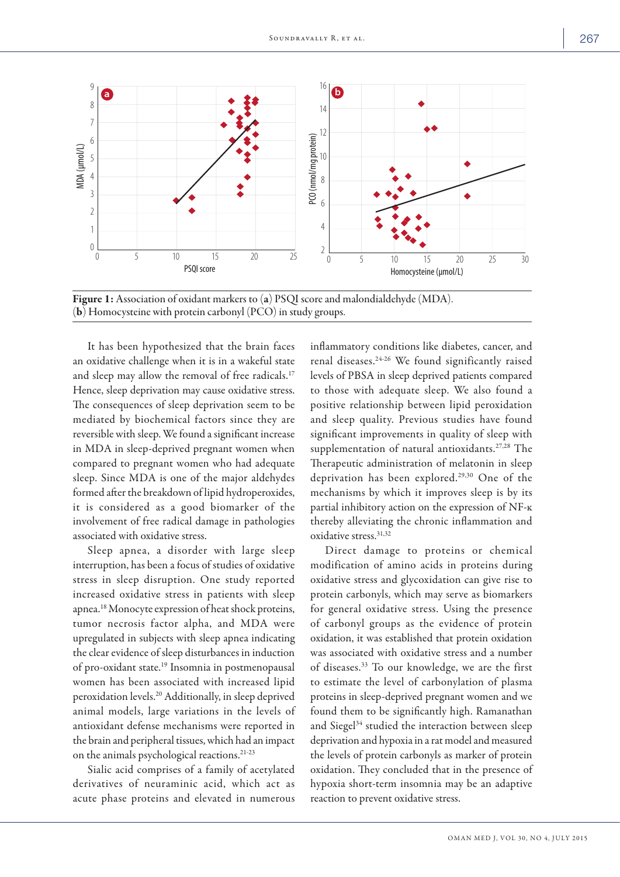

Figure 1: Association of oxidant markers to (a) PSQI score and malondialdehyde (MDA). (b) Homocysteine with protein carbonyl (PCO) in study groups.

It has been hypothesized that the brain faces an oxidative challenge when it is in a wakeful state and sleep may allow the removal of free radicals.<sup>17</sup> Hence, sleep deprivation may cause oxidative stress. The consequences of sleep deprivation seem to be mediated by biochemical factors since they are reversible with sleep. We found a significant increase in MDA in sleep-deprived pregnant women when compared to pregnant women who had adequate sleep. Since MDA is one of the major aldehydes formed after the breakdown of lipid hydroperoxides, it is considered as a good biomarker of the involvement of free radical damage in pathologies associated with oxidative stress.

Sleep apnea, a disorder with large sleep interruption, has been a focus of studies of oxidative stress in sleep disruption. One study reported increased oxidative stress in patients with sleep apnea.18 Monocyte expression of heat shock proteins, tumor necrosis factor alpha, and MDA were upregulated in subjects with sleep apnea indicating the clear evidence of sleep disturbances in induction of pro-oxidant state.19 Insomnia in postmenopausal women has been associated with increased lipid peroxidation levels.20 Additionally, in sleep deprived animal models, large variations in the levels of antioxidant defense mechanisms were reported in the brain and peripheral tissues, which had an impact on the animals psychological reactions.21-23

Sialic acid comprises of a family of acetylated derivatives of neuraminic acid, which act as acute phase proteins and elevated in numerous inflammatory conditions like diabetes, cancer, and renal diseases.24-26 We found significantly raised levels of PBSA in sleep deprived patients compared to those with adequate sleep. We also found a positive relationship between lipid peroxidation and sleep quality. Previous studies have found significant improvements in quality of sleep with supplementation of natural antioxidants.<sup>27,28</sup> The Therapeutic administration of melatonin in sleep deprivation has been explored.29,30 One of the mechanisms by which it improves sleep is by its partial inhibitory action on the expression of NF-ĸ thereby alleviating the chronic inflammation and oxidative stress.31,32

Direct damage to proteins or chemical modification of amino acids in proteins during oxidative stress and glycoxidation can give rise to protein carbonyls, which may serve as biomarkers for general oxidative stress. Using the presence of carbonyl groups as the evidence of protein oxidation, it was established that protein oxidation was associated with oxidative stress and a number of diseases.33 To our knowledge, we are the first to estimate the level of carbonylation of plasma proteins in sleep-deprived pregnant women and we found them to be significantly high. Ramanathan and Siegel<sup>34</sup> studied the interaction between sleep deprivation and hypoxia in a rat model and measured the levels of protein carbonyls as marker of protein oxidation. They concluded that in the presence of hypoxia short-term insomnia may be an adaptive reaction to prevent oxidative stress.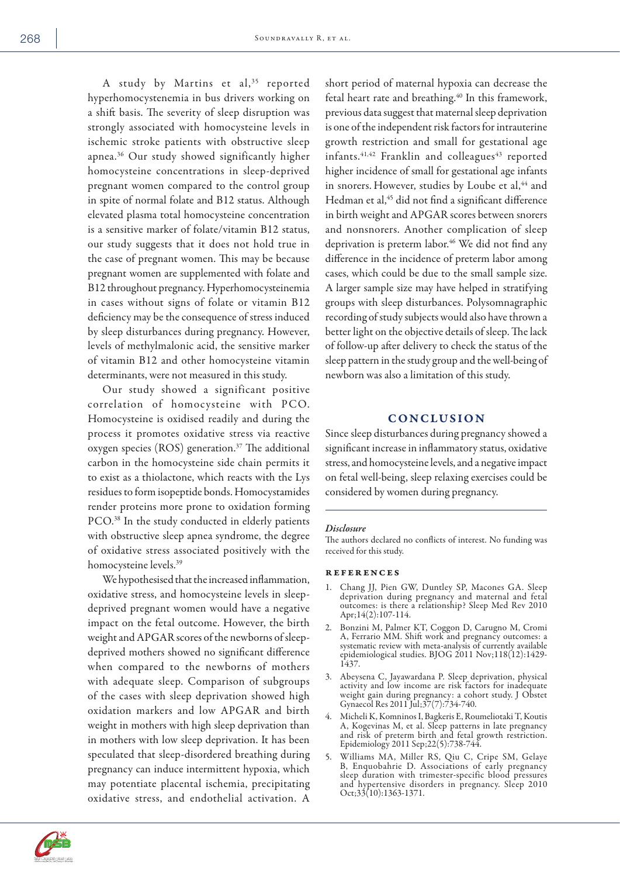A study by Martins et al,<sup>35</sup> reported hyperhomocystenemia in bus drivers working on a shift basis. The severity of sleep disruption was strongly associated with homocysteine levels in ischemic stroke patients with obstructive sleep apnea.36 Our study showed significantly higher homocysteine concentrations in sleep-deprived pregnant women compared to the control group in spite of normal folate and B12 status. Although elevated plasma total homocysteine concentration is a sensitive marker of folate/vitamin B12 status, our study suggests that it does not hold true in the case of pregnant women. This may be because pregnant women are supplemented with folate and B12 throughout pregnancy. Hyperhomocysteinemia in cases without signs of folate or vitamin B12 deficiency may be the consequence of stress induced by sleep disturbances during pregnancy. However, levels of methylmalonic acid, the sensitive marker of vitamin B12 and other homocysteine vitamin determinants, were not measured in this study.

Our study showed a significant positive correlation of homocysteine with PCO. Homocysteine is oxidised readily and during the process it promotes oxidative stress via reactive oxygen species (ROS) generation.<sup>37</sup> The additional carbon in the homocysteine side chain permits it to exist as a thiolactone, which reacts with the Lys residues to form isopeptide bonds. Homocystamides render proteins more prone to oxidation forming PCO.38 In the study conducted in elderly patients with obstructive sleep apnea syndrome, the degree of oxidative stress associated positively with the homocysteine levels.39

We hypothesised that the increased inflammation, oxidative stress, and homocysteine levels in sleepdeprived pregnant women would have a negative impact on the fetal outcome. However, the birth weight and APGAR scores of the newborns of sleepdeprived mothers showed no significant difference when compared to the newborns of mothers with adequate sleep. Comparison of subgroups of the cases with sleep deprivation showed high oxidation markers and low APGAR and birth weight in mothers with high sleep deprivation than in mothers with low sleep deprivation. It has been speculated that sleep-disordered breathing during pregnancy can induce intermittent hypoxia, which may potentiate placental ischemia, precipitating oxidative stress, and endothelial activation. A

short period of maternal hypoxia can decrease the fetal heart rate and breathing.<sup>40</sup> In this framework, previous data suggest that maternal sleep deprivation is one of the independent risk factors for intrauterine growth restriction and small for gestational age infants. $41,42$  Franklin and colleagues<sup>43</sup> reported higher incidence of small for gestational age infants in snorers. However, studies by Loube et al,<sup>44</sup> and Hedman et al,<sup>45</sup> did not find a significant difference in birth weight and APGAR scores between snorers and nonsnorers. Another complication of sleep deprivation is preterm labor.<sup>46</sup> We did not find any difference in the incidence of preterm labor among cases, which could be due to the small sample size. A larger sample size may have helped in stratifying groups with sleep disturbances. Polysomnagraphic recording of study subjects would also have thrown a better light on the objective details of sleep. The lack of follow-up after delivery to check the status of the sleep pattern in the study group and the well-being of newborn was also a limitation of this study.

## **CONCLUSION**

Since sleep disturbances during pregnancy showed a significant increase in inflammatory status, oxidative stress, and homocysteine levels, and a negative impact on fetal well-being, sleep relaxing exercises could be considered by women during pregnancy.

#### *Disclosure*

The authors declared no conflicts of interest. No funding was received for this study.

### references

- 1. Chang JJ, Pien GW, Duntley SP, Macones GA. Sleep deprivation during pregnancy and maternal and fetal outcomes: is there a relationship? Sleep Med Rev 2010 Apr;14(2):107-114.
- 2. Bonzini M, Palmer KT, Coggon D, Carugno M, Cromi A, Ferrario MM. Shift work and pregnancy outcomes: a systematic review with meta-analysis of currently available epidemiological studies. BJOG 2011 Nov;118(12):1429- 1437.
- 3. Abeysena C, Jayawardana P. Sleep deprivation, physical activity and low income are risk factors for inadequate weight gain during pregnancy: a cohort study. J Obstet Gynaecol Res 2011 Jul;37(7):734-740.
- 4. Micheli K, Komninos I, Bagkeris E, Roumeliotaki T, Koutis A, Kogevinas M, et al. Sleep patterns in late pregnancy and risk of preterm birth and fetal growth restriction. Epidemiology 2011 Sep;22(5):738-744.
- 5. Williams MA, Miller RS, Qiu C, Cripe SM, Gelaye B, Enquobahrie D. Associations of early pregnancy sleep duration with trimester-specific blood pressures and hypertensive disorders in pregnancy. Sleep 2010 Oct;33(10):1363-1371.